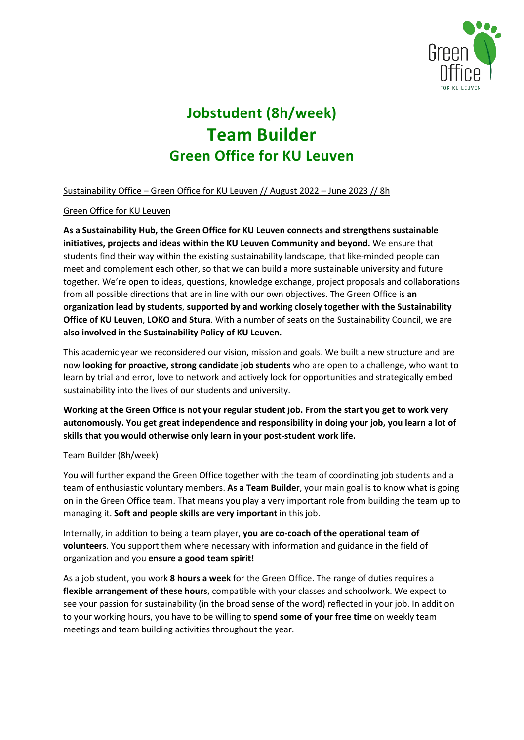

# **Jobstudent (8h/week) Team Builder Green Office for KU Leuven**

Sustainability Office – Green Office for KU Leuven // August 2022 – June 2023 // 8h

# Green Office for KU Leuven

**As a Sustainability Hub, the Green Office for KU Leuven connects and strengthens sustainable initiatives, projects and ideas within the KU Leuven Community and beyond.** We ensure that students find their way within the existing sustainability landscape, that like-minded people can meet and complement each other, so that we can build a more sustainable university and future together. We're open to ideas, questions, knowledge exchange, project proposals and collaborations from all possible directions that are in line with our own objectives. The Green Office is **an organization lead by students**, **supported by and working closely together with the Sustainability Office of KU Leuven**, **LOKO and Stura**. With a number of seats on the Sustainability Council, we are **also involved in the Sustainability Policy of KU Leuven.**

This academic year we reconsidered our vision, mission and goals. We built a new structure and are now **looking for proactive, strong candidate job students** who are open to a challenge, who want to learn by trial and error, love to network and actively look for opportunities and strategically embed sustainability into the lives of our students and university.

**Working at the Green Office is not your regular student job. From the start you get to work very autonomously. You get great independence and responsibility in doing your job, you learn a lot of skills that you would otherwise only learn in your post-student work life.**

# Team Builder (8h/week)

You will further expand the Green Office together with the team of coordinating job students and a team of enthusiastic voluntary members. **As a Team Builder**, your main goal is to know what is going on in the Green Office team. That means you play a very important role from building the team up to managing it. **Soft and people skills are very important** in this job.

Internally, in addition to being a team player, **you are co-coach of the operational team of volunteers**. You support them where necessary with information and guidance in the field of organization and you **ensure a good team spirit!**

As a job student, you work **8 hours a week** for the Green Office. The range of duties requires a **flexible arrangement of these hours**, compatible with your classes and schoolwork. We expect to see your passion for sustainability (in the broad sense of the word) reflected in your job. In addition to your working hours, you have to be willing to **spend some of your free time** on weekly team meetings and team building activities throughout the year.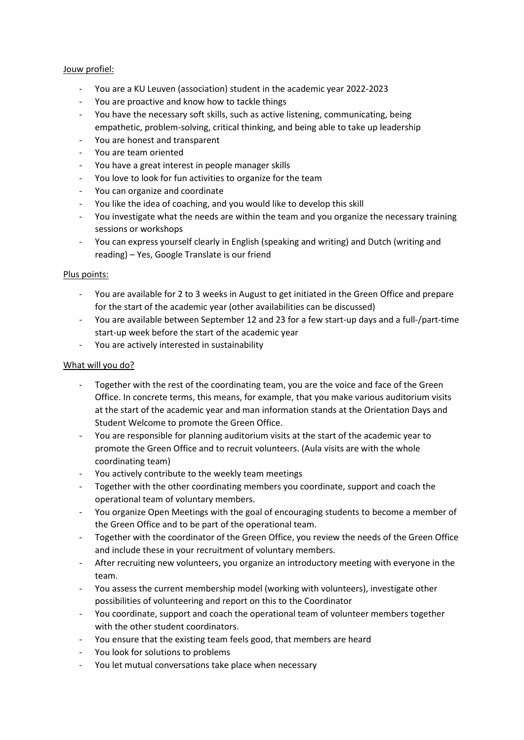## Jouw profiel:

- You are a KU Leuven (association) student in the academic year 2022-2023
- You are proactive and know how to tackle things
- You have the necessary soft skills, such as active listening, communicating, being empathetic, problem-solving, critical thinking, and being able to take up leadership
- You are honest and transparent
- You are team oriented
- You have a great interest in people manager skills
- You love to look for fun activities to organize for the team
- You can organize and coordinate
- You like the idea of coaching, and you would like to develop this skill
- You investigate what the needs are within the team and you organize the necessary training sessions or workshops
- You can express yourself clearly in English (speaking and writing) and Dutch (writing and reading) – Yes, Google Translate is our friend

### Plus points:

- You are available for 2 to 3 weeks in August to get initiated in the Green Office and prepare for the start of the academic year (other availabilities can be discussed)
- You are available between September 12 and 23 for a few start-up days and a full-/part-time start-up week before the start of the academic year
- You are actively interested in sustainability

### What will you do?

- Together with the rest of the coordinating team, you are the voice and face of the Green Office. In concrete terms, this means, for example, that you make various auditorium visits at the start of the academic year and man information stands at the Orientation Days and Student Welcome to promote the Green Office.
- You are responsible for planning auditorium visits at the start of the academic year to promote the Green Office and to recruit volunteers. (Aula visits are with the whole coordinating team)
- You actively contribute to the weekly team meetings
- Together with the other coordinating members you coordinate, support and coach the operational team of voluntary members.
- You organize Open Meetings with the goal of encouraging students to become a member of the Green Office and to be part of the operational team.
- Together with the coordinator of the Green Office, you review the needs of the Green Office and include these in your recruitment of voluntary members.
- After recruiting new volunteers, you organize an introductory meeting with everyone in the team.
- You assess the current membership model (working with volunteers), investigate other possibilities of volunteering and report on this to the Coordinator
- You coordinate, support and coach the operational team of volunteer members together with the other student coordinators.
- You ensure that the existing team feels good, that members are heard
- You look for solutions to problems
- You let mutual conversations take place when necessary